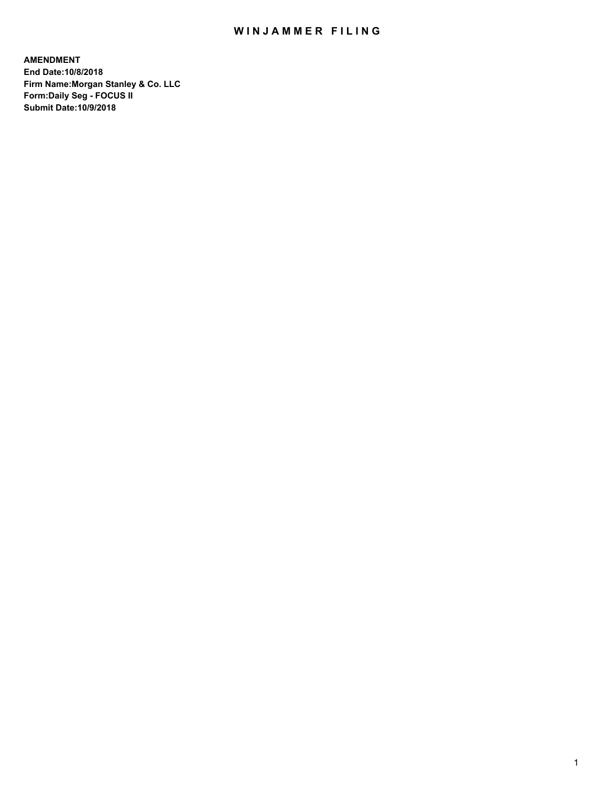## WIN JAMMER FILING

**AMENDMENT End Date:10/8/2018 Firm Name:Morgan Stanley & Co. LLC Form:Daily Seg - FOCUS II Submit Date:10/9/2018**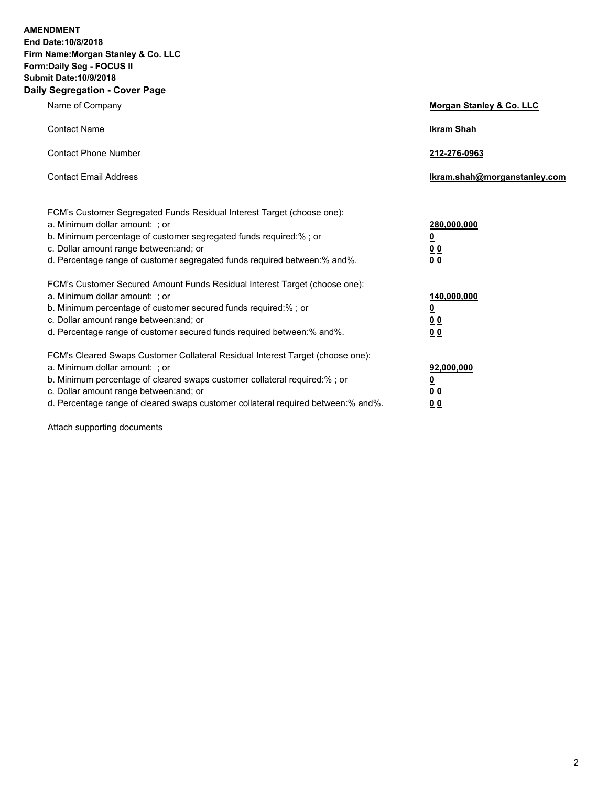**AMENDMENT End Date:10/8/2018 Firm Name:Morgan Stanley & Co. LLC Form:Daily Seg - FOCUS II Submit Date:10/9/2018 Daily Segregation - Cover Page**

| Name of Company                                                                                                                                                                                                                                                                                                                | Morgan Stanley & Co. LLC                        |
|--------------------------------------------------------------------------------------------------------------------------------------------------------------------------------------------------------------------------------------------------------------------------------------------------------------------------------|-------------------------------------------------|
| <b>Contact Name</b>                                                                                                                                                                                                                                                                                                            | <b>Ikram Shah</b>                               |
| <b>Contact Phone Number</b>                                                                                                                                                                                                                                                                                                    | 212-276-0963                                    |
| <b>Contact Email Address</b>                                                                                                                                                                                                                                                                                                   | lkram.shah@morganstanley.com                    |
| FCM's Customer Segregated Funds Residual Interest Target (choose one):<br>a. Minimum dollar amount: ; or<br>b. Minimum percentage of customer segregated funds required:% ; or<br>c. Dollar amount range between: and; or<br>d. Percentage range of customer segregated funds required between:% and%.                         | 280,000,000<br><u>0</u><br><u>00</u><br>00      |
| FCM's Customer Secured Amount Funds Residual Interest Target (choose one):<br>a. Minimum dollar amount: ; or<br>b. Minimum percentage of customer secured funds required:% ; or<br>c. Dollar amount range between: and; or<br>d. Percentage range of customer secured funds required between:% and%.                           | 140,000,000<br><u>0</u><br>00<br>0 <sub>0</sub> |
| FCM's Cleared Swaps Customer Collateral Residual Interest Target (choose one):<br>a. Minimum dollar amount: ; or<br>b. Minimum percentage of cleared swaps customer collateral required:% ; or<br>c. Dollar amount range between: and; or<br>d. Percentage range of cleared swaps customer collateral required between:% and%. | 92,000,000<br><u>0</u><br>0 Q<br>00             |

Attach supporting documents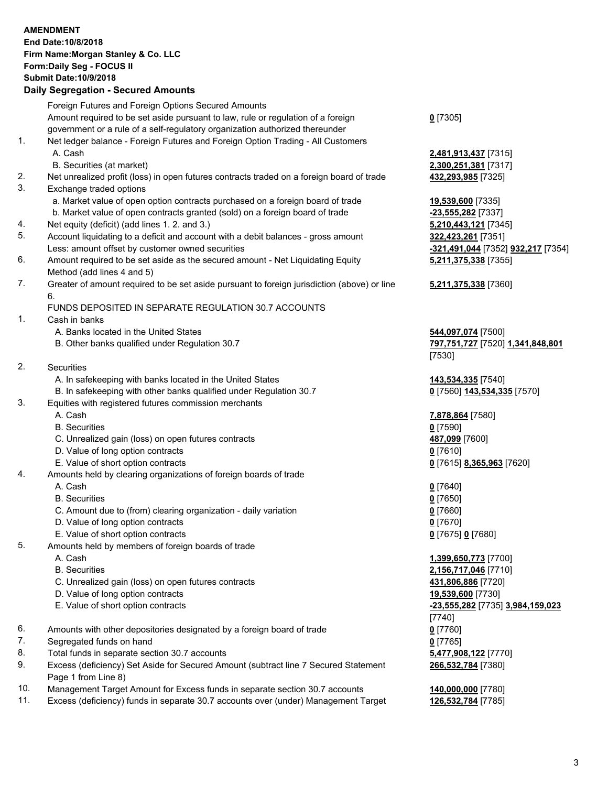## **AMENDMENT End Date:10/8/2018 Firm Name:Morgan Stanley & Co. LLC Form:Daily Seg - FOCUS II Submit Date:10/9/2018 Daily Segregation - Secured Amounts** Foreign Futures and Foreign Options Secured Amounts Amount required to be set aside pursuant to law, rule or regulation of a foreign government or a rule of a self-regulatory organization authorized thereunder **0** [7305] 1. Net ledger balance - Foreign Futures and Foreign Option Trading - All Customers A. Cash **2,481,913,437** [7315] B. Securities (at market) **2,300,251,381** [7317] 2. Net unrealized profit (loss) in open futures contracts traded on a foreign board of trade **432,293,985** [7325] 3. Exchange traded options a. Market value of open option contracts purchased on a foreign board of trade **19,539,600** [7335] b. Market value of open contracts granted (sold) on a foreign board of trade **-23,555,282** [7337] 4. Net equity (deficit) (add lines 1. 2. and 3.) **5,210,443,121** [7345] 5. Account liquidating to a deficit and account with a debit balances - gross amount **322,423,261** [7351] Less: amount offset by customer owned securities **-321,491,044** [7352] **932,217** [7354] 6. Amount required to be set aside as the secured amount - Net Liquidating Equity Method (add lines 4 and 5) **5,211,375,338** [7355] 7. Greater of amount required to be set aside pursuant to foreign jurisdiction (above) or line 6. **5,211,375,338** [7360] FUNDS DEPOSITED IN SEPARATE REGULATION 30.7 ACCOUNTS 1. Cash in banks A. Banks located in the United States **544,097,074** [7500] B. Other banks qualified under Regulation 30.7 **797,751,727** [7520] **1,341,848,801** [7530] 2. Securities A. In safekeeping with banks located in the United States **143,534,335** [7540] B. In safekeeping with other banks qualified under Regulation 30.7 **0** [7560] **143,534,335** [7570] 3. Equities with registered futures commission merchants A. Cash **7,878,864** [7580] B. Securities **0** [7590] C. Unrealized gain (loss) on open futures contracts **487,099** [7600] D. Value of long option contracts **0** [7610] E. Value of short option contracts **0** [7615] **8,365,963** [7620] 4. Amounts held by clearing organizations of foreign boards of trade A. Cash **0** [7640] B. Securities **0** [7650] C. Amount due to (from) clearing organization - daily variation **0** [7660] D. Value of long option contracts **0** [7670] E. Value of short option contracts **0** [7675] **0** [7680] 5. Amounts held by members of foreign boards of trade A. Cash **1,399,650,773** [7700] B. Securities **2,156,717,046** [7710] C. Unrealized gain (loss) on open futures contracts **431,806,886** [7720] D. Value of long option contracts **19,539,600** [7730] E. Value of short option contracts **-23,555,282** [7735] **3,984,159,023** [7740] 6. Amounts with other depositories designated by a foreign board of trade **0** [7760] 7. Segregated funds on hand **0** [7765] 8. Total funds in separate section 30.7 accounts **5,477,908,122** [7770] 9. Excess (deficiency) Set Aside for Secured Amount (subtract line 7 Secured Statement Page 1 from Line 8) **266,532,784** [7380]

- 10. Management Target Amount for Excess funds in separate section 30.7 accounts **140,000,000** [7780]
- 11. Excess (deficiency) funds in separate 30.7 accounts over (under) Management Target **126,532,784** [7785]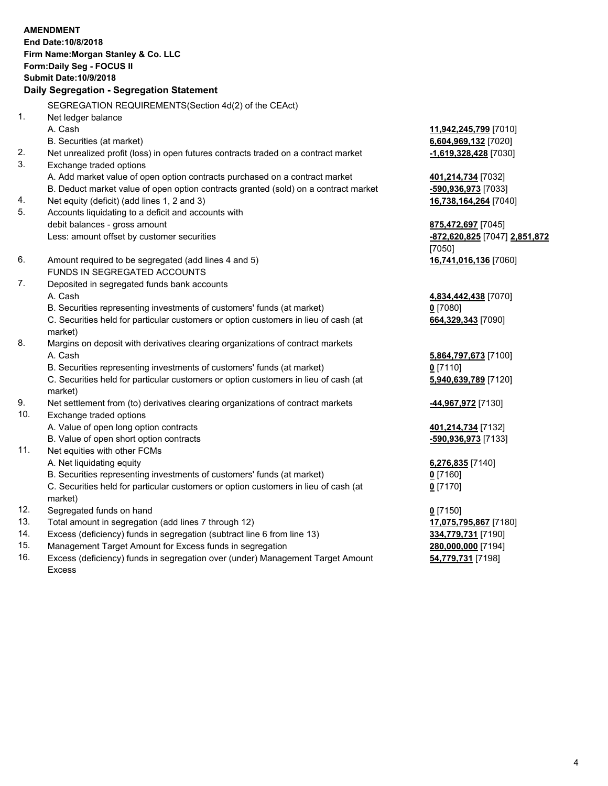|            | <b>AMENDMENT</b><br>End Date: 10/8/2018                                                                                                                       |                                             |
|------------|---------------------------------------------------------------------------------------------------------------------------------------------------------------|---------------------------------------------|
|            | Firm Name: Morgan Stanley & Co. LLC                                                                                                                           |                                             |
|            | Form: Daily Seg - FOCUS II                                                                                                                                    |                                             |
|            | <b>Submit Date: 10/9/2018</b>                                                                                                                                 |                                             |
|            | Daily Segregation - Segregation Statement                                                                                                                     |                                             |
|            | SEGREGATION REQUIREMENTS(Section 4d(2) of the CEAct)                                                                                                          |                                             |
| 1.         | Net ledger balance                                                                                                                                            |                                             |
|            | A. Cash                                                                                                                                                       | 11,942,245,799 [7010]                       |
|            | B. Securities (at market)                                                                                                                                     | 6,604,969,132 [7020]                        |
| 2.         | Net unrealized profit (loss) in open futures contracts traded on a contract market                                                                            | -1,619,328,428 [7030]                       |
| 3.         | Exchange traded options                                                                                                                                       |                                             |
|            | A. Add market value of open option contracts purchased on a contract market                                                                                   | 401,214,734 [7032]                          |
|            | B. Deduct market value of open option contracts granted (sold) on a contract market                                                                           | -590,936,973 [7033]                         |
| 4.         | Net equity (deficit) (add lines 1, 2 and 3)                                                                                                                   | 16,738,164,264 [7040]                       |
| 5.         | Accounts liquidating to a deficit and accounts with                                                                                                           |                                             |
|            | debit balances - gross amount                                                                                                                                 | 875,472,697 [7045]                          |
|            | Less: amount offset by customer securities                                                                                                                    | -872,620,825 [7047] 2,851,872               |
|            |                                                                                                                                                               | [7050]                                      |
| 6.         | Amount required to be segregated (add lines 4 and 5)                                                                                                          | 16,741,016,136 [7060]                       |
|            | FUNDS IN SEGREGATED ACCOUNTS                                                                                                                                  |                                             |
| 7.         | Deposited in segregated funds bank accounts                                                                                                                   |                                             |
|            | A. Cash                                                                                                                                                       | 4,834,442,438 [7070]                        |
|            | B. Securities representing investments of customers' funds (at market)                                                                                        | $0$ [7080]                                  |
|            | C. Securities held for particular customers or option customers in lieu of cash (at                                                                           | 664,329,343 [7090]                          |
| 8.         | market)                                                                                                                                                       |                                             |
|            | Margins on deposit with derivatives clearing organizations of contract markets<br>A. Cash                                                                     |                                             |
|            |                                                                                                                                                               | 5,864,797,673 [7100]<br>$0$ [7110]          |
|            | B. Securities representing investments of customers' funds (at market)<br>C. Securities held for particular customers or option customers in lieu of cash (at | 5,940,639,789 [7120]                        |
|            | market)                                                                                                                                                       |                                             |
| 9.         | Net settlement from (to) derivatives clearing organizations of contract markets                                                                               | -44,967,972 [7130]                          |
| 10.        | Exchange traded options                                                                                                                                       |                                             |
|            | A. Value of open long option contracts                                                                                                                        | 401,214,734 [7132]                          |
|            | B. Value of open short option contracts                                                                                                                       | -590,936,973 [7133]                         |
| 11.        | Net equities with other FCMs                                                                                                                                  |                                             |
|            | A. Net liquidating equity                                                                                                                                     | 6,276,835 [7140]                            |
|            | B. Securities representing investments of customers' funds (at market)                                                                                        | $0$ [7160]                                  |
|            | C. Securities held for particular customers or option customers in lieu of cash (at                                                                           | $0$ [7170]                                  |
|            | market)                                                                                                                                                       |                                             |
| 12.<br>13. | Segregated funds on hand<br>Total amount in segregation (add lines 7 through 12)                                                                              | $0$ [7150]                                  |
| 14.        | Excess (deficiency) funds in segregation (subtract line 6 from line 13)                                                                                       | 17,075,795,867 [7180]<br>334,779,731 [7190] |
|            |                                                                                                                                                               |                                             |

- 
- 15. Management Target Amount for Excess funds in segregation<br>16. Excess (deficiency) funds in segregation over (under) Management Target Amount **280,000,000** [7198] Excess (deficiency) funds in segregation over (under) Management Target Amount Excess

**54,779,731** [7198]